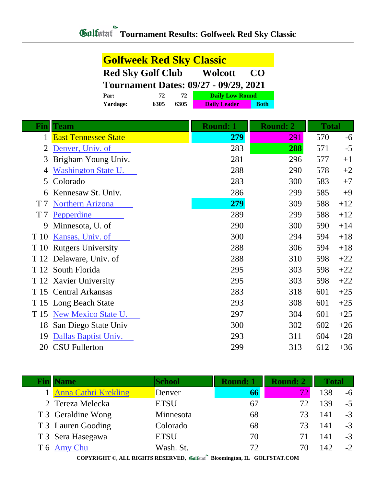| <b>Golfweek Red Sky Classic</b>                               |      |      |                        |             |  |
|---------------------------------------------------------------|------|------|------------------------|-------------|--|
| <b>Red Sky Golf Club</b><br><b>Wolcott</b><br>CO <sub>0</sub> |      |      |                        |             |  |
| <b>Tournament Dates: 09/27 - 09/29, 2021</b>                  |      |      |                        |             |  |
| Par:                                                          | 72   | 72   | <b>Daily Low Round</b> |             |  |
| Yardage:                                                      | 6305 | 6305 | <b>Daily Leader</b>    | <b>Both</b> |  |

|                | <b>Fin Team</b>             | <b>Round: 1</b> | <b>Round: 2</b> | <b>Total</b> |       |
|----------------|-----------------------------|-----------------|-----------------|--------------|-------|
| 1              | <b>East Tennessee State</b> | 279             | 291             | 570          | $-6$  |
| 2              | Denver, Univ. of            | 283             | 288             | 571          | $-5$  |
| 3              | Brigham Young Univ.         | 281             | 296             | 577          | $+1$  |
| 4              | <b>Washington State U.</b>  | 288             | 290             | 578          | $+2$  |
| 5              | Colorado                    | 283             | 300             | 583          | $+7$  |
| 6              | Kennesaw St. Univ.          | 286             | 299             | 585          | $+9$  |
| T <sub>7</sub> | <b>Northern Arizona</b>     | 279             | 309             | 588          | $+12$ |
| T <sub>7</sub> | Pepperdine                  | 289             | 299             | 588          | $+12$ |
| 9              | Minnesota, U. of            | 290             | 300             | 590          | $+14$ |
| T 10           | Kansas, Univ. of            | 300             | 294             | 594          | $+18$ |
|                | T 10 Rutgers University     | 288             | 306             | 594          | $+18$ |
|                | T 12 Delaware, Univ. of     | 288             | 310             | 598          | $+22$ |
| T 12           | South Florida               | 295             | 303             | 598          | $+22$ |
|                | T 12 Xavier University      | 295             | 303             | 598          | $+22$ |
|                | T 15 Central Arkansas       | 283             | 318             | 601          | $+25$ |
|                | T 15 Long Beach State       | 293             | 308             | 601          | $+25$ |
| T 15           | <b>New Mexico State U.</b>  | 297             | 304             | 601          | $+25$ |
| 18             | San Diego State Univ        | 300             | 302             | 602          | $+26$ |
| 19             | Dallas Baptist Univ.        | 293             | 311             | 604          | $+28$ |
| 20             | <b>CSU Fullerton</b>        | 299             | 313             | 612          | $+36$ |

| <b>Name</b>            | <b>School</b> | <b>Round: 1</b> | <b>Round: 2</b> | Total |      |
|------------------------|---------------|-----------------|-----------------|-------|------|
| 1 Anna Cathri Krekling | Denver        | 66              |                 | 138   | $-6$ |
| 2 Tereza Melecka       | <b>ETSU</b>   | 67              | 72              | 139   | $-5$ |
| T 3 Geraldine Wong     | Minnesota     | 68              | 73              | 141   | $-3$ |
| T 3 Lauren Gooding     | Colorado      | 68              | 73              | 141   | $-3$ |
| T 3 Sera Hasegawa      | <b>ETSU</b>   | 70              | 71              | 141   | $-3$ |
| T 6 Amy Chu            | Wash. St.     | 72              | 70              | 142   | $-2$ |

**COPYRIGHT ©, ALL RIGHTS RESERVED, Bloomington, IL GOLFSTAT.COM**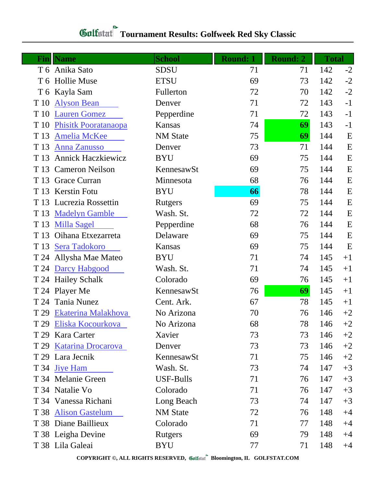## **Tournament Results: Golfweek Red Sky Classic**

| <b>Name</b><br>Fin |                             | <b>School</b>   | <b>Round: 1</b> | <b>Round: 2</b> | <b>Total</b> |      |
|--------------------|-----------------------------|-----------------|-----------------|-----------------|--------------|------|
| T 6 Anika Sato     |                             | <b>SDSU</b>     | 71              | 71              | 142          | $-2$ |
| T 6 Hollie Muse    |                             | <b>ETSU</b>     | 69              | 73              | 142          | $-2$ |
| T 6 Kayla Sam      |                             | Fullerton       | 72              | 70              | 142          | $-2$ |
| T 10               | <b>Alyson Bean</b>          | Denver          | 71              | 72              | 143          | $-1$ |
| T 10               | <b>Lauren Gomez</b>         | Pepperdine      | 71              | 72              | 143          | $-1$ |
| T 10               | <b>Phisitk Pooratanaopa</b> | Kansas          | 74              | 69              | 143          | $-1$ |
| T 13               | <b>Amelia McKee</b>         | <b>NM</b> State | 75              | 69              | 144          | E    |
| T 13               | <b>Anna Zanusso</b>         | Denver          | 73              | 71              | 144          | E    |
| T 13               | <b>Annick Haczkiewicz</b>   | <b>BYU</b>      | 69              | 75              | 144          | E    |
| T 13               | <b>Cameron Neilson</b>      | KennesawSt      | 69              | 75              | 144          | E    |
| T 13               | Grace Curran                | Minnesota       | 68              | 76              | 144          | E    |
| T 13               | <b>Kerstin Fotu</b>         | <b>BYU</b>      | 66              | 78              | 144          | E    |
| T 13               | Lucrezia Rossettin          | Rutgers         | 69              | 75              | 144          | E    |
| T 13               | <b>Madelyn Gamble</b>       | Wash. St.       | 72              | 72              | 144          | E    |
| T 13               | <b>Milla Sagel</b>          | Pepperdine      | 68              | 76              | 144          | E    |
| T 13               | Oihana Etxezarreta          | Delaware        | 69              | 75              | 144          | E    |
| T 13               | Sera Tadokoro               | Kansas          | 69              | 75              | 144          | E    |
|                    | T 24 Allysha Mae Mateo      | <b>BYU</b>      | 71              | 74              | 145          | $+1$ |
| T 24               | Darcy Habgood               | Wash. St.       | 71              | 74              | 145          | $+1$ |
| T 24 Hailey Schalk |                             | Colorado        | 69              | 76              | 145          | $+1$ |
| T 24 Player Me     |                             | KennesawSt      | 76              | 69              | 145          | $+1$ |
| T 24               | Tania Nunez                 | Cent. Ark.      | 67              | 78              | 145          | $+1$ |
| T 29               | Ekaterina Malakhova         | No Arizona      | 70              | 76              | 146          | $+2$ |
|                    | T 29 Eliska Kocourkova      | No Arizona      | 68              | 78              | 146          | $+2$ |
| T 29               | Kara Carter                 | Xavier          | 73              | 73              | 146          | $+2$ |
| T 29               | <b>Katarina Drocarova</b>   | Denver          | 73              | 73              | 146          | $+2$ |
| T 29 Lara Jecnik   |                             | KennesawSt      | 71              | 75              | 146          | $+2$ |
| T 34 Jiye Ham      |                             | Wash. St.       | 73              | 74              | 147          | $+3$ |
| T 34 Melanie Green |                             | USF-Bulls       | 71              | 76              | 147          | $+3$ |
| T 34 Natalie Vo    |                             | Colorado        | 71              | 76              | 147          | $+3$ |
|                    | T 34 Vanessa Richani        | Long Beach      | 73              | 74              | 147          | $+3$ |
| T 38               | <b>Alison Gastelum</b>      | <b>NM</b> State | 72              | 76              | 148          | $+4$ |
|                    | T 38 Diane Baillieux        | Colorado        | 71              | 77              | 148          | $+4$ |
| T 38 Leigha Devine |                             | Rutgers         | 69              | 79              | 148          | $+4$ |
| T 38 Lila Galeai   |                             | <b>BYU</b>      | 77              | 71              | 148          | $+4$ |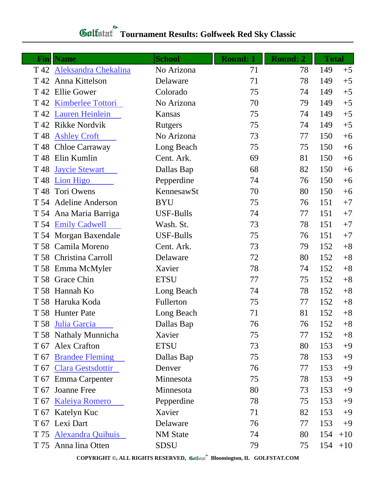| $\mathbf{Fin}$  | <b>Name</b>               | <b>School</b>    | <b>Round: 1</b> | <b>Round: 2</b> | <b>Total</b> |       |
|-----------------|---------------------------|------------------|-----------------|-----------------|--------------|-------|
|                 | T 42 Aleksandra Chekalina | No Arizona       | 71              | 78              | 149          | $+5$  |
|                 | T 42 Anna Kittelson       | Delaware         | 71              | 78              | 149          | $+5$  |
|                 | T 42 Ellie Gower          | Colorado         | 75              | 74              | 149          | $+5$  |
|                 | T 42 Kimberlee Tottori    | No Arizona       | 70              | 79              | 149          | $+5$  |
|                 | T 42 Lauren Heinlein      | Kansas           | 75              | 74              | 149          | $+5$  |
| T 42            | <b>Rikke Nordvik</b>      | Rutgers          | 75              | 74              | 149          | $+5$  |
| T <sub>48</sub> | <b>Ashley Croft</b>       | No Arizona       | 73              | 77              | 150          | $+6$  |
|                 | T 48 Chloe Carraway       | Long Beach       | 75              | 75              | 150          | $+6$  |
| T 48            | Elin Kumlin               | Cent. Ark.       | 69              | 81              | 150          | $+6$  |
| T <sub>48</sub> | <b>Jaycie Stewart</b>     | Dallas Bap       | 68              | 82              | 150          | $+6$  |
| T 48            | <b>Lion Higo</b>          | Pepperdine       | 74              | 76              | 150          | $+6$  |
| T 48            | Tori Owens                | KennesawSt       | 70              | 80              | 150          | $+6$  |
|                 | T 54 Adeline Anderson     | <b>BYU</b>       | 75              | 76              | 151          | $+7$  |
|                 | T 54 Ana Maria Barriga    | <b>USF-Bulls</b> | 74              | 77              | 151          | $+7$  |
|                 | T 54 Emily Cadwell        | Wash. St.        | 73              | 78              | 151          | $+7$  |
|                 | T 54 Morgan Baxendale     | <b>USF-Bulls</b> | 75              | 76              | 151          | $+7$  |
|                 | T 58 Camila Moreno        | Cent. Ark.       | 73              | 79              | 152          | $+8$  |
|                 | T 58 Christina Carroll    | Delaware         | 72              | 80              | 152          | $+8$  |
|                 | T 58 Emma McMyler         | Xavier           | 78              | 74              | 152          | $+8$  |
|                 | T 58 Grace Chin           | <b>ETSU</b>      | 77              | 75              | 152          | $+8$  |
|                 | T 58 Hannah Ko            | Long Beach       | 74              | 78              | 152          | $+8$  |
|                 | T 58 Haruka Koda          | Fullerton        | 75              | 77              | 152          | $+8$  |
|                 | T 58 Hunter Pate          | Long Beach       | 71              | 81              | 152          | $+8$  |
|                 | T 58 Julia Garcia         | Dallas Bap       | 76              | 76              | 152          | $+8$  |
|                 | T 58 Nathaly Munnicha     | Xavier           | 75              | 77              | 152          | $+8$  |
|                 | T 67 Alex Crafton         | <b>ETSU</b>      | 73              | 80              | 153          | $+9$  |
| T 67            | <b>Brandee Fleming</b>    | Dallas Bap       | 75              | 78              | 153          | $+9$  |
|                 | T 67 Clara Gestsdottir    | Denver           | 76              | 77              | 153          | $+9$  |
|                 | T 67 Emma Carpenter       | Minnesota        | 75              | 78              | 153          | $+9$  |
| T 67            | <b>Joanne Free</b>        | Minnesota        | 80              | 73              | 153          | $+9$  |
|                 | T 67 Kaleiya Romero       | Pepperdine       | 78              | 75              | 153          | $+9$  |
|                 | T 67 Katelyn Kuc          | Xavier           | 71              | 82              | 153          | $+9$  |
|                 | T 67 Lexi Dart            | Delaware         | 76              | 77              | 153          | $+9$  |
|                 | T 75 Alexandra Quihuis    | <b>NM</b> State  | 74              | 80              | 154          | $+10$ |
|                 | T 75 Anna lina Otten      | <b>SDSU</b>      | 79              | 75              | 154          | $+10$ |

**COPYRIGHT ©, ALL RIGHTS RESERVED, Bloomington, IL GOLFSTAT.COM**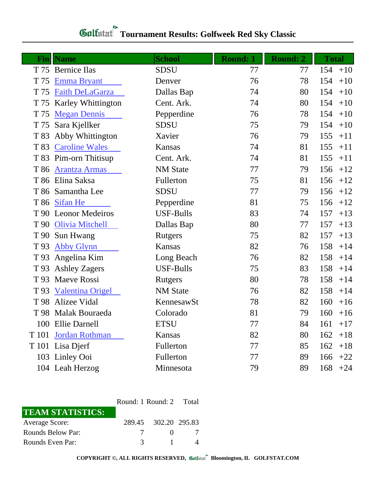## **Tournament Results: Golfweek Red Sky Classic**

|       | <b>Fin</b> Name           | <b>School</b>    | <b>Round: 1</b> | <b>Round: 2</b> | <b>Total</b> |       |
|-------|---------------------------|------------------|-----------------|-----------------|--------------|-------|
|       | T 75 Bernice Ilas         | <b>SDSU</b>      | 77              | 77              | 154          | $+10$ |
| T 75  | <b>Emma Bryant</b>        | Denver           | 76              | 78              | 154          | $+10$ |
| T 75  | Faith DeLaGarza           | Dallas Bap       | 74              | 80              | 154          | $+10$ |
| T 75  | <b>Karley Whittington</b> | Cent. Ark.       | 74              | 80              | 154          | $+10$ |
| T 75  | <b>Megan Dennis</b>       | Pepperdine       | 76              | 78              | 154          | $+10$ |
| T 75  | Sara Kjellker             | <b>SDSU</b>      | 75              | 79              | 154          | $+10$ |
| T 83  | Abby Whittington          | Xavier           | 76              | 79              | 155          | $+11$ |
| T 83  | <b>Caroline Wales</b>     | Kansas           | 74              | 81              | 155          | $+11$ |
|       | T 83 Pim-orn Thitisup     | Cent. Ark.       | 74              | 81              | 155          | $+11$ |
| T 86  | <b>Arantza Armas</b>      | <b>NM</b> State  | 77              | 79              | 156          | $+12$ |
|       | T 86 Elina Saksa          | Fullerton        | 75              | 81              | 156          | $+12$ |
|       | T 86 Samantha Lee         | <b>SDSU</b>      | 77              | 79              | 156          | $+12$ |
|       | T 86 Sifan He             | Pepperdine       | 81              | 75              | 156          | $+12$ |
|       | T 90 Leonor Medeiros      | <b>USF-Bulls</b> | 83              | 74              | 157          | $+13$ |
|       | T 90 Olivia Mitchell      | Dallas Bap       | 80              | 77              | 157          | $+13$ |
|       | T 90 Sun Hwang            | <b>Rutgers</b>   | 75              | 82              | 157          | $+13$ |
| T 93  | <b>Abby Glynn</b>         | Kansas           | 82              | 76              | 158          | $+14$ |
|       | T 93 Angelina Kim         | Long Beach       | 76              | 82              | 158          | $+14$ |
|       | T 93 Ashley Zagers        | <b>USF-Bulls</b> | 75              | 83              | 158          | $+14$ |
| T 93  | <b>Maeve Rossi</b>        | <b>Rutgers</b>   | 80              | 78              | 158          | $+14$ |
| T 93  | <b>Valentina Origel</b>   | <b>NM</b> State  | 76              | 82              | 158          | $+14$ |
|       | T 98 Alizee Vidal         | KennesawSt       | 78              | 82              | 160          | $+16$ |
|       | T 98 Malak Bouraeda       | Colorado         | 81              | 79              | 160          | $+16$ |
|       | 100 Ellie Darnell         | <b>ETSU</b>      | 77              | 84              | $161 + 17$   |       |
| T 101 | Jordan Rothman            | Kansas           | 82              | 80              | 162          | $+18$ |
|       | T 101 Lisa Djerf          | Fullerton        | 77              | 85              | 162          | $+18$ |
|       | 103 Linley Ooi            | Fullerton        | 77              | 89              | 166          | $+22$ |
|       | 104 Leah Herzog           | Minnesota        | 79              | 89              | 168          | $+24$ |

|                         | Round: 1 Round: 2 Total |                      |  |
|-------------------------|-------------------------|----------------------|--|
| <b>TEAM STATISTICS:</b> |                         |                      |  |
| Average Score:          |                         | 289.45 302.20 295.83 |  |
| Rounds Below Par:       | 7                       |                      |  |
| Rounds Even Par:        | $\mathcal{R}$           |                      |  |